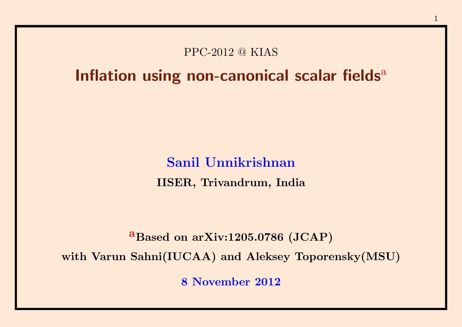#### PPC-2012 @ KIAS

#### Inflation using non-canonical scalar fields $a$

Sanil Unnikrishnan IISER, Trivandrum, India

a Based on arXiv:1205.0786 (JCAP)

with Varun Sahni(IUCAA) and Aleksey Toporensky(MSU)

8 November 2012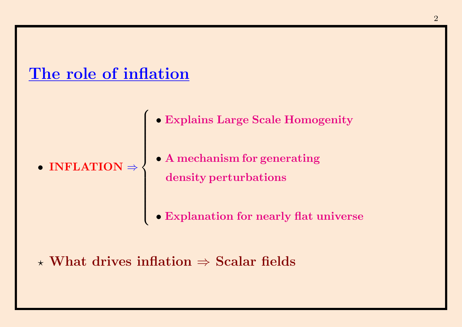#### The role of inflation

 $\int$ 

 $\begin{array}{c} \hline \end{array}$ 

 $\begin{array}{c} \hline \end{array}$ 

• INFLATION ⇒

- Explains Large Scale Homogenity
- A mechanism for generating density perturbations
- Explanation for nearly flat universe

#### $\star$  What drives inflation  $\Rightarrow$  Scalar fields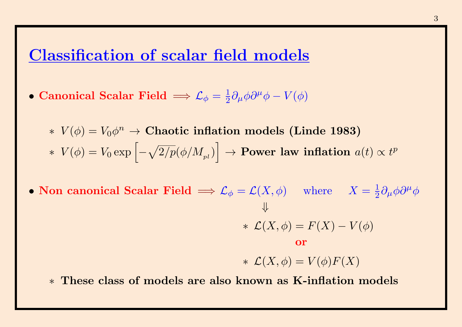#### Classification of scalar field models

- Canonical Scalar Field  $\Longrightarrow {\mathcal L}_{\phi} = \frac{1}{2}$  $\frac{1}{2}\partial_\mu\phi\partial^\mu\phi-V(\phi)$ 
	- $\ast$   $V(\phi) = V_0 \phi^n$  → Chaotic inflation models (Linde 1983)  $\ast \ \ V(\phi) = V_0 \exp \left[ - \sqrt{2/p} (\phi/M_{_{pl}}) \right]$  $\Big] \rightarrow \textbf{Power} \ \textbf{law} \ \textbf{inflation} \ \ a(t) \propto t^p$
- Non canonical Scalar Field  $\implies \mathcal{L}_{\phi} = \mathcal{L}(X, \phi)$  where  $X = \frac{1}{2}$  $\frac{1}{2}\partial_\mu\phi\partial^\mu\phi$ ⇓ \*  $\mathcal{L}(X,\phi) = F(X) - V(\phi)$ or \*  $\mathcal{L}(X,\phi) = V(\phi)F(X)$ 
	- ∗ These class of models are also known as K-inflation models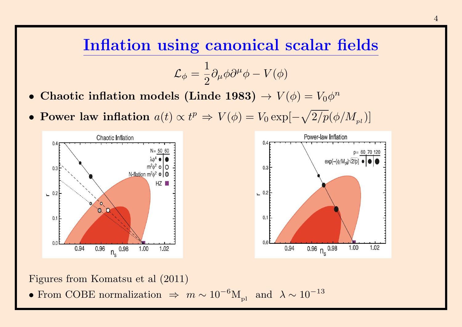#### Inflation using canonical scalar fields

$$
{\cal L}_{\phi}=\frac{1}{2}\partial_{\mu}\phi\partial^{\mu}\phi-V(\phi)
$$

- Chaotic inflation models (Linde 1983)  $\rightarrow V(\phi) = V_0 \phi^n$
- Power law inflation  $a(t) \propto t^p \Rightarrow V(\phi) = V_0 \exp[-\sqrt{2/p}(\phi/M_{pl})]$





Figures from Komatsu et al (2011)

• From COBE normalization  $\Rightarrow m \sim 10^{-6} M_{pl}$  and  $\lambda \sim 10^{-13}$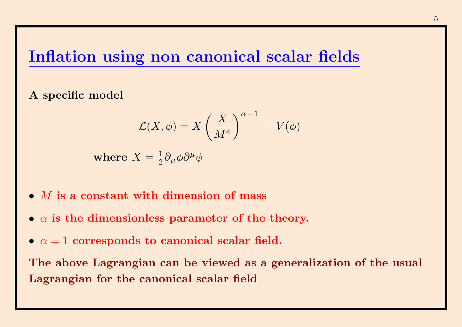#### Inflation using non canonical scalar fields

A specific model

$$
\mathcal{L}(X,\phi) = X \left(\frac{X}{M^4}\right)^{\alpha-1} - V(\phi)
$$

where  $X=\frac{1}{2}$  $\frac{1}{2}\partial_\mu\phi\partial^\mu\phi$ 

- $\bullet$  *M* is a constant with dimension of mass
- $\alpha$  is the dimensionless parameter of the theory.
- $\alpha = 1$  corresponds to canonical scalar field.

The above Lagrangian can be viewed as a generalization of the usual Lagrangian for the canonical scalar field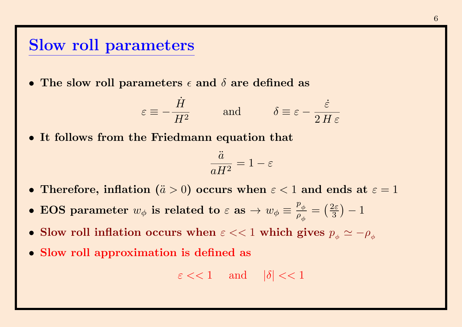#### Slow roll parameters

• The slow roll parameters  $\epsilon$  and  $\delta$  are defined as

$$
\varepsilon \equiv -\frac{\dot{H}}{H^2}
$$
 and  $\delta \equiv \varepsilon - \frac{\dot{\varepsilon}}{2H\varepsilon}$ 

• It follows from the Friedmann equation that

$$
\frac{\ddot{a}}{aH^2} = 1 - \varepsilon
$$

- Therefore, inflation ( $\ddot{a} > 0$ ) occurs when  $\varepsilon < 1$  and ends at  $\varepsilon = 1$
- EOS parameter  $w_{\phi}$  is related to  $\varepsilon$  as  $\rightarrow w_{\phi} \equiv$  $p_{\phi}^{\parallel}$  $\rho_{\phi}$  $=\left(\frac{2\varepsilon}{3}\right)$  $\frac{2\varepsilon}{3}$ ) —  $1$
- Slow roll inflation occurs when  $\varepsilon << 1$  which gives  $p_{\phi} \simeq -\rho_{\phi}$
- Slow roll approximation is defined as

$$
\varepsilon \ll 1
$$
 and  $|\delta| \ll 1$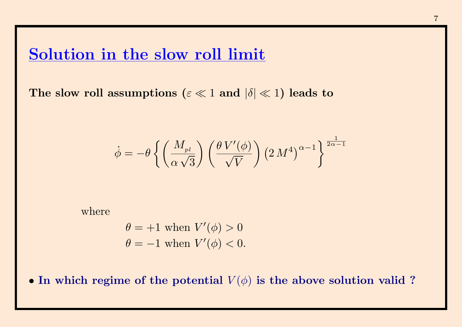#### Solution in the slow roll limit

The slow roll assumptions ( $\varepsilon \ll 1$  and  $|\delta| \ll 1$ ) leads to

$$
\dot{\phi} = -\theta \left\{ \left( \frac{M_{pl}}{\alpha \sqrt{3}} \right) \left( \frac{\theta V'(\phi)}{\sqrt{V}} \right) \left( 2 M^4 \right)^{\alpha - 1} \right\}^{\frac{1}{2\alpha - 1}}
$$

where

$$
\theta = +1 \text{ when } V'(\phi) > 0
$$
  

$$
\theta = -1 \text{ when } V'(\phi) < 0.
$$

• In which regime of the potential  $V(\phi)$  is the above solution valid ?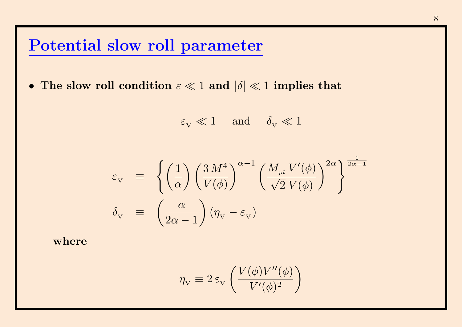## Potential slow roll parameter

• The slow roll condition  $\varepsilon \ll 1$  and  $|\delta| \ll 1$  implies that

 $\varepsilon_{\rm v} \ll 1$  and  $\delta_{\rm v} \ll 1$ 

$$
\varepsilon_{\rm v} = \left\{ \left( \frac{1}{\alpha} \right) \left( \frac{3 M^4}{V(\phi)} \right)^{\alpha - 1} \left( \frac{M_{pl} V'(\phi)}{\sqrt{2} V(\phi)} \right)^{2\alpha} \right\}^{\frac{1}{2\alpha - 1}}
$$
  

$$
\delta_{\rm v} = \left( \frac{\alpha}{2\alpha - 1} \right) (\eta_{\rm v} - \varepsilon_{\rm v})
$$

where

$$
\eta_{\scriptscriptstyle \rm V} \equiv 2\,\varepsilon_{\scriptscriptstyle \rm V} \left(\frac{V(\phi)V''(\phi)}{V'(\phi)^2}\right)
$$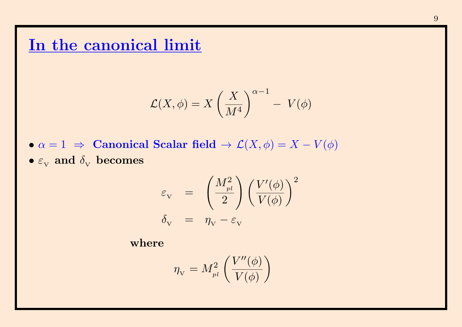#### In the canonical limit

$$
\mathcal{L}(X,\phi) = X \left(\frac{X}{M^4}\right)^{\alpha-1} - V(\phi)
$$

•  $\alpha = 1 \Rightarrow$  Canonical Scalar field  $\rightarrow \mathcal{L}(X, \phi) = X - V(\phi)$  $\bullet$   $\varepsilon_{\rm_V}$  and  $\delta_{\rm_V}$  becomes

$$
\begin{array}{lcl} \varepsilon_{_{\rm V}} & = & \left( \frac{M_{_{pl}}^2}{2} \right) \left( \frac{V'(\phi)}{V(\phi)} \right)^2 \\ \delta_{_{\rm V}} & = & \eta_{_{\rm V}} - \varepsilon_{_{\rm V}} \end{array}
$$

where

$$
\eta_{\scriptscriptstyle \rm V} = M_{_{pl}}^2 \left(\frac{V^{\prime\prime}(\phi)}{V(\phi)}\right)
$$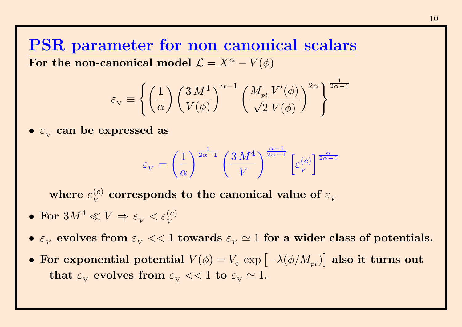PSR parameter for non canonical scalars For the non-canonical model  $\mathcal{L} = X^{\alpha} - V(\phi)$ 

$$
\varepsilon_{\rm v}\equiv\left\{\left(\frac{1}{\alpha}\right)\left(\frac{3\,M^4}{V(\phi)}\right)^{\alpha-1}\left(\frac{M_{pl}\,V'(\phi)}{\sqrt{2}\,V(\phi)}\right)^{2\alpha}\right\}^{\frac{1}{2\alpha-1}}
$$

 $\bullet$   $\varepsilon_{\rm v}$  can be expressed as

$$
\varepsilon_V = \left(\frac{1}{\alpha}\right)^{\frac{1}{2\alpha - 1}} \left(\frac{3 M^4}{V}\right)^{\frac{\alpha - 1}{2\alpha - 1}} \left[\varepsilon_V^{(c)}\right]^{\frac{\alpha}{2\alpha - 1}}
$$

where  $\varepsilon_{V}^{(c)}$  $V^{(c)}_{V}$  corresponds to the canonical value of  $\varepsilon_{V}$ 

- $\bullet \ \ \textbf{For} \ \ 3M^4 \ll V \, \Rightarrow \, \varepsilon_{_V} < \varepsilon_{_V}^{(c)}$
- $\varepsilon_{_V}$  evolves from  $\varepsilon_{_V} << 1$  towards  $\varepsilon_{_V} \simeq 1$  for a wider class of potentials.
- For exponential potential  $V(\phi) = V_0 \exp \left[ -\lambda (\phi/M_{_{pl}}) \right]$  also it turns out  ${\rm \bf that\,\,} \varepsilon_{_{\rm V}} \,$  evolves from  $\varepsilon_{_{\rm V}} << 1 \,$  to  $\varepsilon_{_{\rm V}} \simeq 1.$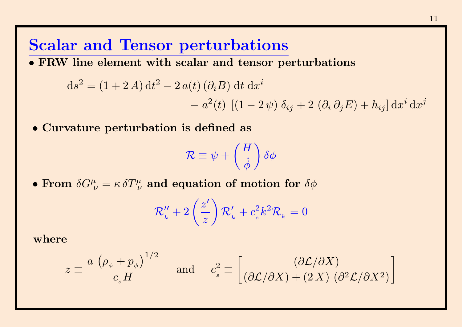#### Scalar and Tensor perturbations

• FRW line element with scalar and tensor perturbations

$$
ds^{2} = (1 + 2 A) dt^{2} - 2 a(t) (\partial_{i} B) dt dx^{i}
$$

$$
- a^{2}(t) [(1 - 2 \psi) \delta_{ij} + 2 (\partial_{i} \partial_{j} E) + h_{ij}] dx
$$

• Curvature perturbation is defined as

$$
\mathcal{R} \equiv \psi + \left(\frac{H}{\dot{\phi}}\right) \delta \phi
$$

• From  $\delta G^{\mu}_{\,\,\nu}=\kappa\,\delta T^{\mu}_{\,\,\nu}$  and equation of motion for  $\delta\phi$ 

$$
\mathcal{R}_k'' + 2\left(\frac{z'}{z}\right)\mathcal{R}_k' + c_s^2k^2\mathcal{R}_k = 0
$$

where

$$
z \equiv \frac{a\,\left(\rho_{\phi} + p_{\phi}\right)^{1/2}}{c_s H} \quad \text{and} \quad c_s^2 \equiv \left[\frac{(\partial \mathcal{L}/\partial X)}{(\partial \mathcal{L}/\partial X) + (2\,X)\,(\partial^2 \mathcal{L}/\partial X^2)}\right]
$$

 $i\mathrm{d}x^j$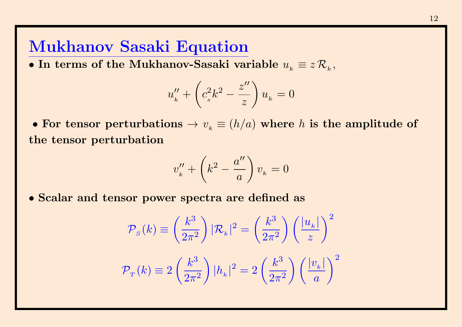### Mukhanov Sasaki Equation

• In terms of the Mukhanov-Sasaki variable  $u_{_k} \equiv z \, \mathcal{R}_{_k},$ 

$$
u_k'' + \left(c_s^2 k^2 - \frac{z''}{z}\right) u_k = 0
$$

• For tensor perturbations  $\rightarrow v_{_{k}}\equiv (h/a)$  where  $h$  is the amplitude of the tensor perturbation

$$
v_k'' + \left(k^2 - \frac{a''}{a}\right)v_k = 0
$$

• Scalar and tensor power spectra are defined as

$$
\mathcal{P}_s(k) \equiv \left(\frac{k^3}{2\pi^2}\right) |\mathcal{R}_k|^2 = \left(\frac{k^3}{2\pi^2}\right) \left(\frac{|u_k|}{z}\right)^2
$$
  

$$
\mathcal{P}_T(k) \equiv 2\left(\frac{k^3}{2\pi^2}\right) |h_k|^2 = 2\left(\frac{k^3}{2\pi^2}\right) \left(\frac{|v_k|}{a}\right)^2
$$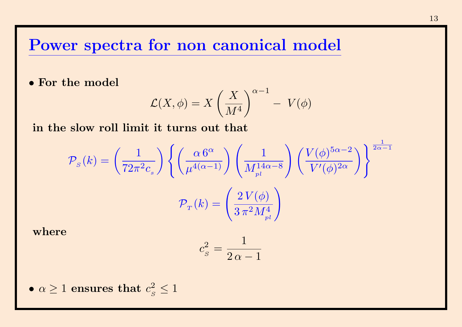#### Power spectra for non canonical model

• For the model

$$
\mathcal{L}(X,\phi)=X\left(\frac{X}{M^4}\right)^{\alpha-1}-\ V(\phi)
$$

in the slow roll limit it turns out that

$$
\mathcal{P}_{s}(k) = \left(\frac{1}{72\pi^{2}c_{s}}\right) \left\{ \left(\frac{\alpha \, 6^{\alpha}}{\mu^{4(\alpha-1)}}\right) \left(\frac{1}{M_{pl}^{14\alpha-8}}\right) \left(\frac{V(\phi)^{5\alpha-2}}{V'(\phi)^{2\alpha}}\right) \right\}^{\frac{1}{2\alpha-1}}
$$

$$
\mathcal{P}_{T}(k) = \left(\frac{2\,V(\phi)}{3\,\pi^{2}M_{pl}^{4}}\right)
$$

where

$$
c_s^2 = \frac{1}{2\,\alpha - 1}
$$

•  $\alpha \geq 1$  ensures that  $c_{\alpha}^2$  $\frac{2}{s} \leq 1$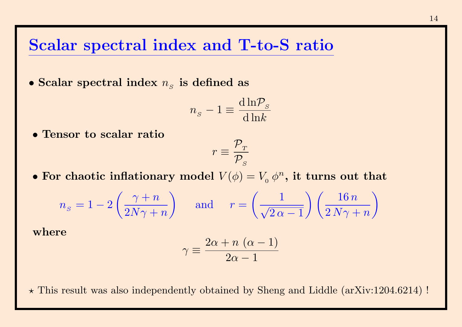#### Scalar spectral index and T-to-S ratio

 $\bullet$  Scalar spectral index  $n_{_S}$  is defined as

$$
n_s - 1 \equiv \frac{\mathrm{d} \ln \! \mathcal{P}_s}{\mathrm{d} \ln \! k}
$$

• Tensor to scalar ratio

$$
r\equiv\frac{\mathcal{P}_{\scriptscriptstyle T}}{\mathcal{P}_{\scriptscriptstyle S}}
$$

• For chaotic inflationary model  $V(\phi) = V_0 \phi^n$ , it turns out that

$$
n_s = 1 - 2\left(\frac{\gamma + n}{2N\gamma + n}\right) \quad \text{and} \quad r = \left(\frac{1}{\sqrt{2\alpha - 1}}\right)\left(\frac{16 n}{2N\gamma + n}\right)
$$

where

$$
\gamma \equiv \frac{2\alpha + n\,\left(\alpha - 1\right)}{2\alpha - 1}
$$

 $\star$  This result was also independently obtained by Sheng and Liddle (arXiv:1204.6214) !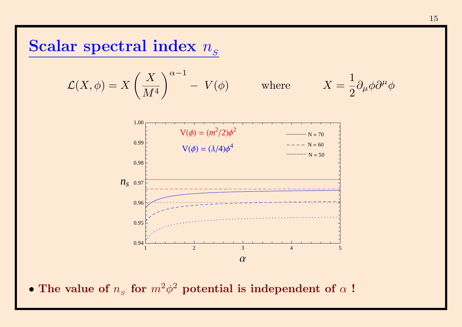# Scalar spectral index  $n_s$

$$
\mathcal{L}(X,\phi) = X \left(\frac{X}{M^4}\right)^{\alpha-1} - V(\phi) \quad \text{where} \quad X =
$$



• The value of  $n_s$  for  $m^2\phi^2$  potential is independent of  $\alpha$ !

1

 $\partial_\mu\phi\partial^\mu\phi$ 

2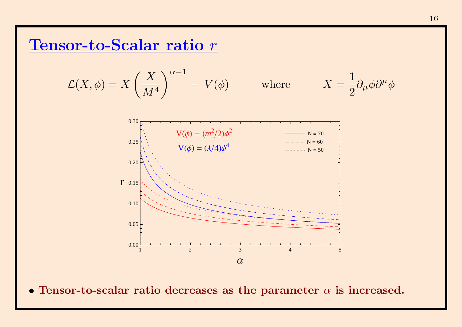## Tensor-to-Scalar ratio r

$$
\mathcal{L}(X,\phi) = X \left(\frac{X}{M^4}\right)^{\alpha-1} - V(\phi) \quad \text{where} \quad X =
$$

$$
X=\frac{1}{2}\partial_{\mu}\phi\partial^{\mu}\phi
$$



• Tensor-to-scalar ratio decreases as the parameter  $\alpha$  is increased.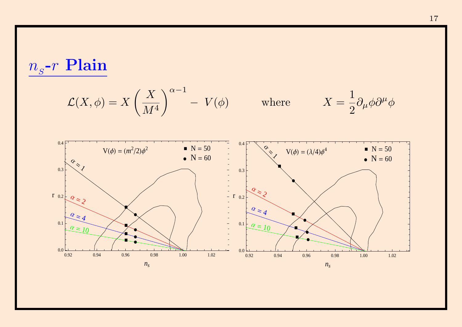$$
n_s\text{-}r\ \mathbf{Plain}
$$

$$
\mathcal{L}(X,\phi) = X \left(\frac{X}{M^4}\right)^{\alpha-1} - V(\phi) \quad \text{where} \quad X = \frac{1}{2} \partial_\mu \phi \partial^\mu \phi
$$

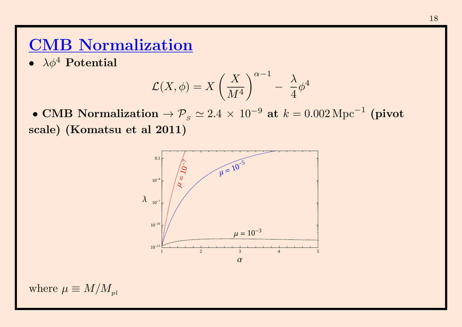## CMB Normalization

•  $\lambda \phi^4$  Potential

$$
\mathcal{L}(X,\phi)=X\left(\frac{X}{M^4}\right)^{\alpha-1}-\frac{\lambda}{4}\phi^4
$$

 $\bullet$  CMB Normalization  $\to \mathcal{P}_\mathrm{s} \simeq 2.4\,\times\,10^{-9}$  at  $k=0.002\,\mathrm{Mpc}^{-1}$  (pivot scale) (Komatsu et al 2011)



where  $\mu \equiv M/M_{pl}$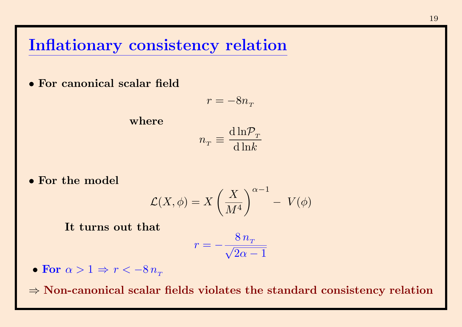#### Inflationary consistency relation

• For canonical scalar field

$$
r=-8n_{\scriptscriptstyle T}
$$

where

$$
n_{\scriptscriptstyle T} \equiv \frac{\mathrm{d}\ln\!mathcal{P}_{\scriptscriptstyle T}}{\mathrm{d}\ln\!k}
$$

• For the model

$$
\mathcal{L}(X,\phi)=X\left(\frac{X}{M^4}\right)^{\alpha-1}-\ V(\phi)
$$

It turns out that

$$
r = -\frac{8 n_{\rm T}}{\sqrt{2 \alpha - 1}}
$$

• For  $\alpha > 1 \Rightarrow r < -8n_{\tau}$ 

 $\Rightarrow$  Non-canonical scalar fields violates the standard consistency relation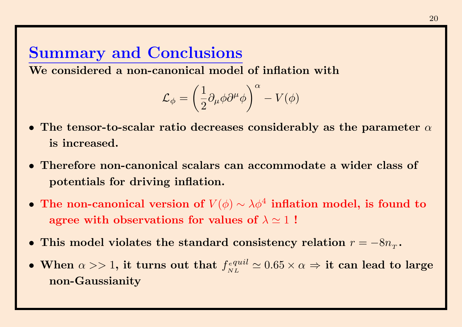# Summary and Conclusions

We considered a non-canonical model of inflation with

$$
{\cal L}_{\phi} = \left( \frac{1}{2} \partial_{\mu} \phi \partial^{\mu} \phi \right)^{\alpha} - V(\phi)
$$

- The tensor-to-scalar ratio decreases considerably as the parameter  $\alpha$ is increased.
- Therefore non-canonical scalars can accommodate a wider class of potentials for driving inflation.
- The non-canonical version of  $V(\phi) \sim \lambda \phi^4$  inflation model, is found to agree with observations for values of  $\lambda \simeq 1$ !
- This model violates the standard consistency relation  $r = -8n_{\tau}$ .
- When  $\alpha >> 1$ , it turns out that  $f_{ML}^{equil}$ NL  $\simeq 0.65 \times \alpha \, \Rightarrow$  it can lead to large non-Gaussianity